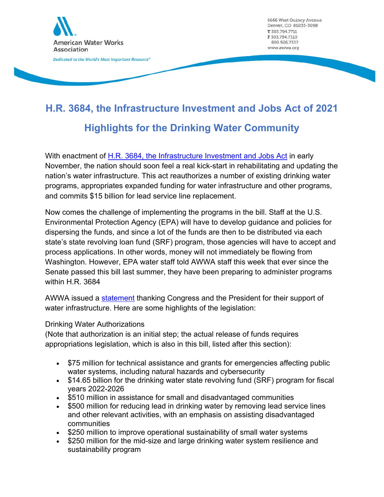

6666 West Quincy Avenue Denver, CO 80235-3098 T 303.794.7711 F 303.794.7310 800.926.7337 www.awwa.org

# **H.R. 3684, the Infrastructure Investment and Jobs Act of 2021 Highlights for the Drinking Water Community**

With enactment of H.R. 3684, the Infrastructure Investment and Jobs Act in early November, the nation should soon feel a real kick-start in rehabilitating and updating the nation's water infrastructure. This act reauthorizes a number of existing drinking water programs, appropriates expanded funding for water infrastructure and other programs, and commits \$15 billion for lead service line replacement.

Now comes the challenge of implementing the programs in the bill. Staff at the U.S. Environmental Protection Agency (EPA) will have to develop guidance and policies for dispersing the funds, and since a lot of the funds are then to be distributed via each state's state revolving loan fund (SRF) program, those agencies will have to accept and process applications. In other words, money will not immediately be flowing from Washington. However, EPA water staff told AWWA staff this week that ever since the Senate passed this bill last summer, they have been preparing to administer programs within H.R. 3684

AWWA issued a statement thanking Congress and the President for their support of water infrastructure. Here are some highlights of the legislation:

### Drinking Water Authorizations

(Note that authorization is an initial step; the actual release of funds requires appropriations legislation, which is also in this bill, listed after this section):

- \$75 million for technical assistance and grants for emergencies affecting public water systems, including natural hazards and cybersecurity
- \$14.65 billion for the drinking water state revolving fund (SRF) program for fiscal years 2022-2026
- \$510 million in assistance for small and disadvantaged communities
- \$500 million for reducing lead in drinking water by removing lead service lines and other relevant activities, with an emphasis on assisting disadvantaged communities
- \$250 million to improve operational sustainability of small water systems
- \$250 million for the mid-size and large drinking water system resilience and sustainability program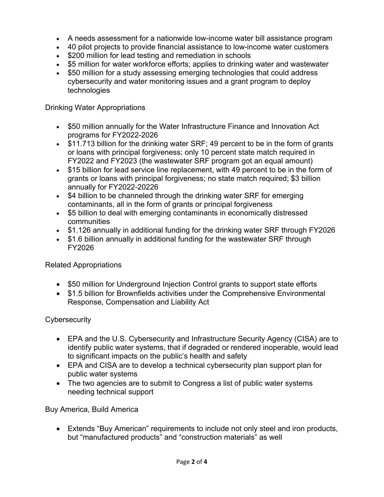- A needs assessment for a nationwide low-income water bill assistance program
- 40 pilot projects to provide financial assistance to low-income water customers
- \$200 million for lead testing and remediation in schools
- \$5 million for water workforce efforts; applies to drinking water and wastewater
- \$50 million for a study assessing emerging technologies that could address cybersecurity and water monitoring issues and a grant program to deploy technologies

Drinking Water Appropriations

- \$50 million annually for the Water Infrastructure Finance and Innovation Act programs for FY2022-2026
- \$11.713 billion for the drinking water SRF; 49 percent to be in the form of grants or loans with principal forgiveness; only 10 percent state match required in FY2022 and FY2023 (the wastewater SRF program got an equal amount)
- \$15 billion for lead service line replacement, with 49 percent to be in the form of grants or loans with principal forgiveness; no state match required; \$3 billion annually for FY2022-20226
- \$4 billion to be channeled through the drinking water SRF for emerging contaminants, all in the form of grants or principal forgiveness
- \$5 billion to deal with emerging contaminants in economically distressed communities
- \$1.126 annually in additional funding for the drinking water SRF through FY2026
- \$1.6 billion annually in additional funding for the wastewater SRF through FY2026

### Related Appropriations

- \$50 million for Underground Injection Control grants to support state efforts
- \$1.5 billion for Brownfields activities under the Comprehensive Environmental Response, Compensation and Liability Act

# **Cybersecurity**

- EPA and the U.S. Cybersecurity and Infrastructure Security Agency (CISA) are to identify public water systems, that if degraded or rendered inoperable, would lead to significant impacts on the public's health and safety
- EPA and CISA are to develop a technical cybersecurity plan support plan for public water systems
- The two agencies are to submit to Congress a list of public water systems needing technical support

# Buy America, Build America

 Extends "Buy American" requirements to include not only steel and iron products, but "manufactured products" and "construction materials" as well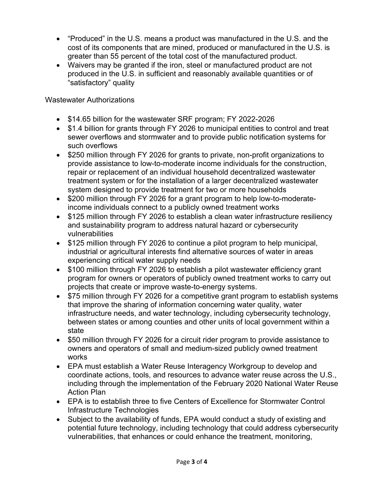- "Produced" in the U.S. means a product was manufactured in the U.S. and the cost of its components that are mined, produced or manufactured in the U.S. is greater than 55 percent of the total cost of the manufactured product.
- Waivers may be granted if the iron, steel or manufactured product are not produced in the U.S. in sufficient and reasonably available quantities or of "satisfactory" quality

Wastewater Authorizations

- \$14.65 billion for the wastewater SRF program; FY 2022-2026
- \$1.4 billion for grants through FY 2026 to municipal entities to control and treat sewer overflows and stormwater and to provide public notification systems for such overflows
- \$250 million through FY 2026 for grants to private, non-profit organizations to provide assistance to low-to-moderate income individuals for the construction, repair or replacement of an individual household decentralized wastewater treatment system or for the installation of a larger decentralized wastewater system designed to provide treatment for two or more households
- \$200 million through FY 2026 for a grant program to help low-to-moderateincome individuals connect to a publicly owned treatment works
- \$125 million through FY 2026 to establish a clean water infrastructure resiliency and sustainability program to address natural hazard or cybersecurity vulnerabilities
- \$125 million through FY 2026 to continue a pilot program to help municipal, industrial or agricultural interests find alternative sources of water in areas experiencing critical water supply needs
- \$100 million through FY 2026 to establish a pilot wastewater efficiency grant program for owners or operators of publicly owned treatment works to carry out projects that create or improve waste-to-energy systems.
- \$75 million through FY 2026 for a competitive grant program to establish systems that improve the sharing of information concerning water quality, water infrastructure needs, and water technology, including cybersecurity technology, between states or among counties and other units of local government within a state
- \$50 million through FY 2026 for a circuit rider program to provide assistance to owners and operators of small and medium-sized publicly owned treatment works
- EPA must establish a Water Reuse Interagency Workgroup to develop and coordinate actions, tools, and resources to advance water reuse across the U.S., including through the implementation of the February 2020 National Water Reuse Action Plan
- EPA is to establish three to five Centers of Excellence for Stormwater Control Infrastructure Technologies
- Subject to the availability of funds, EPA would conduct a study of existing and potential future technology, including technology that could address cybersecurity vulnerabilities, that enhances or could enhance the treatment, monitoring,